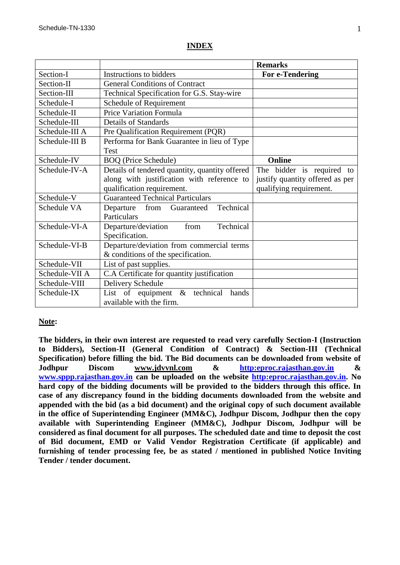### **Remarks** Section-I Instructions to bidders **For e-Tendering** Section-II General Conditions of Contract Section-III Technical Specification for G.S. Stay-wire Schedule-I Schedule of Requirement Schedule-II Price Variation Formula Schedule-III Details of Standards Schedule-III A Pre Qualification Requirement (POR) Schedule-III B Performa for Bank Guarantee in lieu of Type Test Schedule-IV BOQ (Price Schedule) **Online**  Schedule-IV-A Details of tendered quantity, quantity offered along with justification with reference to qualification requirement. The bidder is required to justify quantity offered as per qualifying requirement. Schedule-V Guaranteed Technical Particulars Schedule VA Departure from Guaranteed Technical Particulars Schedule-VI-A Departure/deviation from Technical Specification. Schedule-VI-B Departure/deviation from commercial terms & conditions of the specification. Schedule-VII List of past supplies. Schedule-VII A  $\parallel$  C.A Certificate for quantity justification Schedule-VIII | Delivery Schedule Schedule-IX List of equipment & technical hands available with the firm.

# **INDEX**

# **Note:**

**The bidders, in their own interest are requested to read very carefully Section-I (Instruction to Bidders), Section-II (General Condition of Contract) & Section-III (Technical Specification) before filling the bid. The Bid documents can be downloaded from website of Jodhpur Discom www.jdvvnl.com & [http:eproc.rajasthan.gov.in](Specs%20Section-III%20.doc) & [www.sppp.rajasthan.gov.in](http://www.sppp.raj.nic.in/) can be uploaded on the website [http:eproc.rajasthan.gov.in.](file:\\192.168.16.65\sk%20bhati%20sir\d\S%20K%20Bhati%20c%20drive\ss\SKB\Bhati-08\TN-937%20Onwards%20(2013-14)\TN-957%20Stay%20Wire\Specs%20Section-III%20.doc) No hard copy of the bidding documents will be provided to the bidders through this office. In case of any discrepancy found in the bidding documents downloaded from the website and appended with the bid (as a bid document) and the original copy of such document available in the office of Superintending Engineer (MM&C), Jodhpur Discom, Jodhpur then the copy available with Superintending Engineer (MM&C), Jodhpur Discom, Jodhpur will be considered as final document for all purposes. The scheduled date and time to deposit the cost of Bid document, EMD or Valid Vendor Registration Certificate (if applicable) and furnishing of tender processing fee, be as stated / mentioned in published Notice Inviting Tender / tender document.**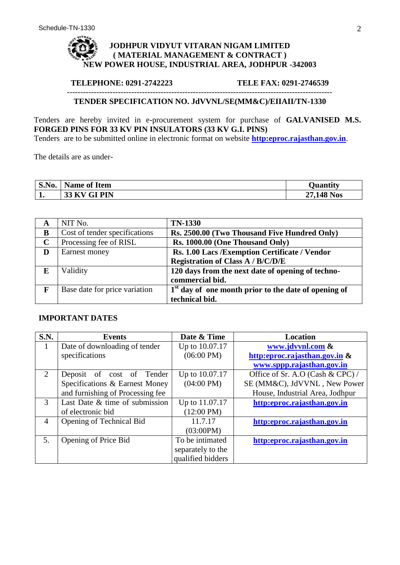# **JODHPUR VIDYUT VITARAN NIGAM LIMITED ( MATERIAL MANAGEMENT & CONTRACT ) NEW POWER HOUSE, INDUSTRIAL AREA, JODHPUR -342003**

### **TELEPHONE: 0291-2742223 TELE FAX: 0291-2746539**

### --------------------------------------------------------------------------------------------------- **TENDER SPECIFICATION NO. JdVVNL/SE(MM&C)/EIIAII/TN-1330**

Tenders are hereby invited in e-procurement system for purchase of **GALVANISED M.S. FORGED PINS FOR 33 KV PIN INSULATORS (33 KV G.I. PINS)**

Tenders are to be submitted online in electronic format on website **[http:eproc.rajasthan.gov.in](http://www.eproc.rajasthan.gov.in/nicgep/app)**.

The details are as under-

| S.No. | <b>Name of Item</b>       | Juantity   |
|-------|---------------------------|------------|
| д,    | <b>33 KV GI PIN</b><br>ັບ | 27,148 Nos |

| A           | NIT No.                       | <b>TN-1330</b>                                         |
|-------------|-------------------------------|--------------------------------------------------------|
| B           | Cost of tender specifications | Rs. 2500.00 (Two Thousand Five Hundred Only)           |
| $\mathbf C$ | Processing fee of RISL        | Rs. 1000.00 (One Thousand Only)                        |
| D           | Earnest money                 | Rs. 1.00 Lacs / Exemption Certificate / Vendor         |
|             |                               | <b>Registration of Class A / B/C/D/E</b>               |
| E           | Validity                      | 120 days from the next date of opening of techno-      |
|             |                               | commercial bid.                                        |
| F           | Base date for price variation | $1st$ day of one month prior to the date of opening of |
|             |                               | technical bid.                                         |

# **IMPORTANT DATES**

| <b>S.N.</b>           | <b>Events</b>                    | Date & Time          | <b>Location</b>                  |
|-----------------------|----------------------------------|----------------------|----------------------------------|
| 1                     | Date of downloading of tender    | Up to 10.07.17       | www.jdvvnl.com &                 |
|                       | specifications                   | $(06:00 \text{ PM})$ | http:eproc.rajasthan.gov.in &    |
|                       |                                  |                      | www.sppp.rajasthan.gov.in        |
| $\mathcal{D}_{\cdot}$ | Deposit of cost of Tender        | Up to 10.07.17       | Office of Sr. A.O (Cash & CPC) / |
|                       | Specifications & Earnest Money   | $(04:00 \text{ PM})$ | SE (MM&C), JdVVNL, New Power     |
|                       | and furnishing of Processing fee |                      | House, Industrial Area, Jodhpur  |
| $\mathcal{F}$         | Last Date & time of submission   | Up to 11.07.17       | http:eproc.rajasthan.gov.in      |
|                       | of electronic bid                | $(12:00 \text{ PM})$ |                                  |
| $\overline{4}$        | Opening of Technical Bid         | 11.7.17              | http:eproc.rajasthan.gov.in      |
|                       |                                  | (03:00PM)            |                                  |
| 5.                    | Opening of Price Bid             | To be intimated      | http:eproc.rajasthan.gov.in      |
|                       |                                  | separately to the    |                                  |
|                       |                                  | qualified bidders    |                                  |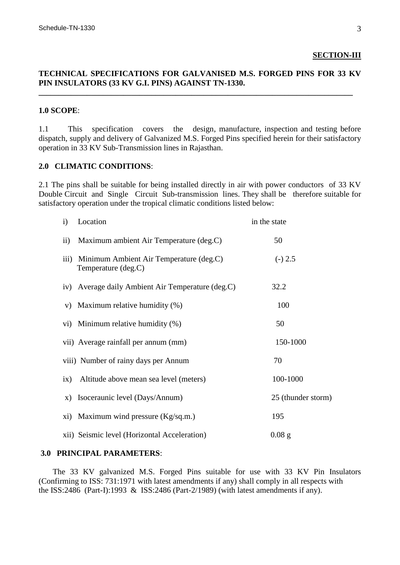### **SECTION-III**

## **TECHNICAL SPECIFICATIONS FOR GALVANISED M.S. FORGED PINS FOR 33 KV PIN INSULATORS (33 KV G.I. PINS) AGAINST TN-1330.**

**\_\_\_\_\_\_\_\_\_\_\_\_\_\_\_\_\_\_\_\_\_\_\_\_\_\_\_\_\_\_\_\_\_\_\_\_\_\_\_\_\_\_\_\_\_\_\_\_\_\_\_\_\_\_\_\_\_\_\_\_\_\_\_\_\_\_\_\_\_\_\_\_\_\_\_\_\_\_**

# **1.0 SCOPE**:

1.1 This specification covers the design, manufacture, inspection and testing before dispatch, supply and delivery of Galvanized M.S. Forged Pins specified herein for their satisfactory operation in 33 KV Sub-Transmission lines in Rajasthan.

# **2.0 CLIMATIC CONDITIONS**:

2.1 The pins shall be suitable for being installed directly in air with power conductors of 33 KV Double Circuit and Single Circuit Sub-transmission lines. They shall be therefore suitable for satisfactory operation under the tropical climatic conditions listed below:

| $\ddot{i}$         | Location                                                       | in the state       |
|--------------------|----------------------------------------------------------------|--------------------|
| $\mathbf{ii}$      | Maximum ambient Air Temperature (deg.C)                        | 50                 |
| $\overline{111}$ ) | Minimum Ambient Air Temperature (deg.C)<br>Temperature (deg.C) | $(-) 2.5$          |
|                    | iv) Average daily Ambient Air Temperature (deg.C)              | 32.2               |
|                    | v) Maximum relative humidity (%)                               | 100                |
|                    | vi) Minimum relative humidity (%)                              | 50                 |
|                    | vii) Average rainfall per annum (mm)                           | 150-1000           |
|                    | viii) Number of rainy days per Annum                           | 70                 |
| ix)                | Altitude above mean sea level (meters)                         | 100-1000           |
| $\mathbf{X}$ )     | Isoceraunic level (Days/Annum)                                 | 25 (thunder storm) |
|                    | xi) Maximum wind pressure (Kg/sq.m.)                           | 195                |
|                    | xii) Seismic level (Horizontal Acceleration)                   | $0.08$ g           |

### **3.0 PRINCIPAL PARAMETERS**:

 The 33 KV galvanized M.S. Forged Pins suitable for use with 33 KV Pin Insulators (Confirming to ISS: 731:1971 with latest amendments if any) shall comply in all respects with the ISS:2486 (Part-I):1993 & ISS:2486 (Part-2/1989) (with latest amendments if any).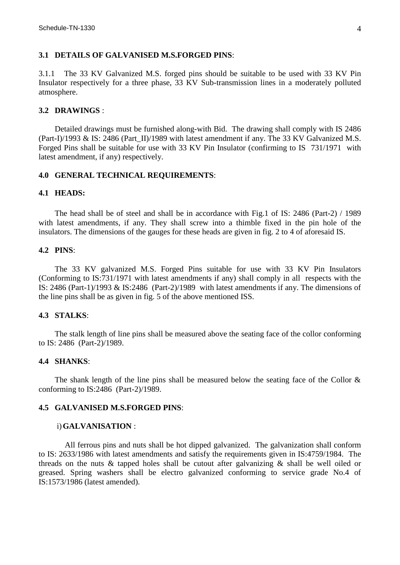### **3.1 DETAILS OF GALVANISED M.S.FORGED PINS**:

3.1.1 The 33 KV Galvanized M.S. forged pins should be suitable to be used with 33 KV Pin Insulator respectively for a three phase, 33 KV Sub-transmission lines in a moderately polluted atmosphere.

### **3.2 DRAWINGS** :

 Detailed drawings must be furnished along-with Bid. The drawing shall comply with IS 2486 (Part-I)/1993 & IS: 2486 (Part\_II)/1989 with latest amendment if any. The 33 KV Galvanized M.S. Forged Pins shall be suitable for use with 33 KV Pin Insulator (confirming to IS 731/1971 with latest amendment, if any) respectively.

#### **4.0 GENERAL TECHNICAL REQUIREMENTS**:

### **4.1 HEADS:**

 The head shall be of steel and shall be in accordance with Fig.1 of IS: 2486 (Part-2) / 1989 with latest amendments, if any. They shall screw into a thimble fixed in the pin hole of the insulators. The dimensions of the gauges for these heads are given in fig. 2 to 4 of aforesaid IS.

#### **4.2 PINS**:

 The 33 KV galvanized M.S. Forged Pins suitable for use with 33 KV Pin Insulators (Conforming to IS:731/1971 with latest amendments if any) shall comply in all respects with the IS: 2486 (Part-1)/1993 & IS:2486 (Part-2)/1989 with latest amendments if any. The dimensions of the line pins shall be as given in fig. 5 of the above mentioned ISS.

### **4.3 STALKS**:

 The stalk length of line pins shall be measured above the seating face of the collor conforming to IS: 2486 (Part-2)/1989.

#### **4.4 SHANKS**:

The shank length of the line pins shall be measured below the seating face of the Collor  $\&$ conforming to IS:2486 (Part-2)/1989.

### **4.5 GALVANISED M.S.FORGED PINS**:

#### i)**GALVANISATION** :

 All ferrous pins and nuts shall be hot dipped galvanized. The galvanization shall conform to IS: 2633/1986 with latest amendments and satisfy the requirements given in IS:4759/1984. The threads on the nuts  $\&$  tapped holes shall be cutout after galvanizing  $\&$  shall be well oiled or greased. Spring washers shall be electro galvanized conforming to service grade No.4 of IS:1573/1986 (latest amended).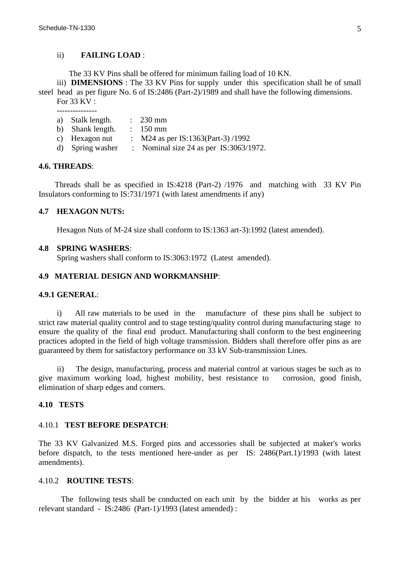### ii) **FAILING LOAD** :

The 33 KV Pins shall be offered for minimum failing load of 10 KN.

iii) **DIMENSIONS** : The 33 KV Pins for supply under this specification shall be of small steel head as per figure No. 6 of IS:2486 (Part-2)/1989 and shall have the following dimensions. For 33 KV :

- a) Stalk length. : 230 mm<br>b) Shank length. : 150 mm
- b) Shank length.
- c) Hexagon nut :  $M24$  as per IS:1363(Part-3)/1992
- d) Spring washer : Nominal size 24 as per IS:3063/1972.

### **4.6. THREADS**:

 Threads shall be as specified in IS:4218 (Part-2) /1976 and matching with 33 KV Pin Insulators conforming to IS:731/1971 (with latest amendments if any)

### **4.7 HEXAGON NUTS:**

Hexagon Nuts of M-24 size shall conform to IS:1363 art-3):1992 (latest amended).

#### **4.8 SPRING WASHERS**:

Spring washers shall conform to IS:3063:1972 (Latest amended).

### **4.9 MATERIAL DESIGN AND WORKMANSHIP**:

### **4.9.1 GENERAL**:

 i) All raw materials to be used in the manufacture of these pins shall be subject to strict raw material quality control and to stage testing/quality control during manufacturing stage to ensure the quality of the final end product. Manufacturing shall conform to the best engineering practices adopted in the field of high voltage transmission. Bidders shall therefore offer pins as are guaranteed by them for satisfactory performance on 33 kV Sub-transmission Lines.

 ii) The design, manufacturing, process and material control at various stages be such as to give maximum working load, highest mobility, best resistance to corrosion, good finish, elimination of sharp edges and corners.

#### **4.10 TESTS**

### 4.10.1 **TEST BEFORE DESPATCH**:

The 33 KV Galvanized M.S. Forged pins and accessories shall be subjected at maker's works before dispatch, to the tests mentioned here-under as per IS: 2486(Part.1)/1993 (with latest amendments).

# 4.10.2 **ROUTINE TESTS**:

 The following tests shall be conducted on each unit by the bidder at his works as per relevant standard - IS:2486 (Part-1)/1993 (latest amended) :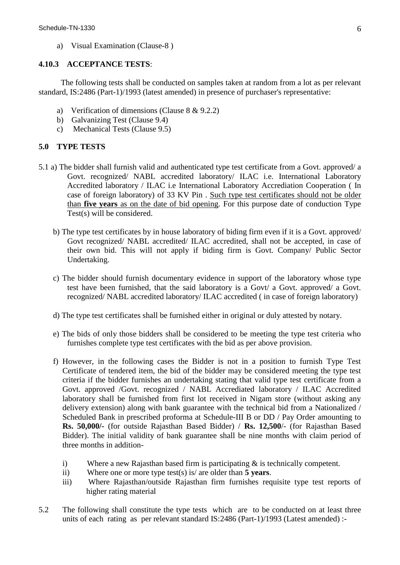a) Visual Examination (Clause-8 )

# **4.10.3 ACCEPTANCE TESTS**:

 The following tests shall be conducted on samples taken at random from a lot as per relevant standard, IS:2486 (Part-1)/1993 (latest amended) in presence of purchaser's representative:

- a) Verification of dimensions (Clause 8 & 9.2.2)
- b) Galvanizing Test (Clause 9.4)
- c) Mechanical Tests (Clause 9.5)

# **5.0 TYPE TESTS**

- 5.1 a) The bidder shall furnish valid and authenticated type test certificate from a Govt. approved/ a Govt. recognized/ NABL accredited laboratory/ ILAC i.e. International Laboratory Accredited laboratory / ILAC i.e International Laboratory Accrediation Cooperation ( In case of foreign laboratory) of 33 KV Pin . Such type test certificates should not be older than **five years** as on the date of bid opening. For this purpose date of conduction Type Test(s) will be considered.
	- b) The type test certificates by in house laboratory of biding firm even if it is a Govt. approved/ Govt recognized/ NABL accredited/ ILAC accredited, shall not be accepted, in case of their own bid. This will not apply if biding firm is Govt. Company/ Public Sector Undertaking.
	- c) The bidder should furnish documentary evidence in support of the laboratory whose type test have been furnished, that the said laboratory is a Govt/ a Govt. approved/ a Govt. recognized/ NABL accredited laboratory/ ILAC accredited ( in case of foreign laboratory)
	- d) The type test certificates shall be furnished either in original or duly attested by notary.
	- e) The bids of only those bidders shall be considered to be meeting the type test criteria who furnishes complete type test certificates with the bid as per above provision.
	- f) However, in the following cases the Bidder is not in a position to furnish Type Test Certificate of tendered item, the bid of the bidder may be considered meeting the type test criteria if the bidder furnishes an undertaking stating that valid type test certificate from a Govt. approved /Govt. recognized / NABL Accrediated laboratory / ILAC Accredited laboratory shall be furnished from first lot received in Nigam store (without asking any delivery extension) along with bank guarantee with the technical bid from a Nationalized / Scheduled Bank in prescribed proforma at Schedule-III B or DD / Pay Order amounting to **Rs. 50,000/-** (for outside Rajasthan Based Bidder) / **Rs. 12,500**/- (for Rajasthan Based Bidder). The initial validity of bank guarantee shall be nine months with claim period of three months in addition
		- i) Where a new Rajasthan based firm is participating & is technically competent.
		- ii) Where one or more type test(s) is/ are older than **5 years**.
		- iii) Where Rajasthan/outside Rajasthan firm furnishes requisite type test reports of higher rating material
- 5.2 The following shall constitute the type tests which are to be conducted on at least three units of each rating as per relevant standard IS:2486 (Part-1)/1993 (Latest amended) :-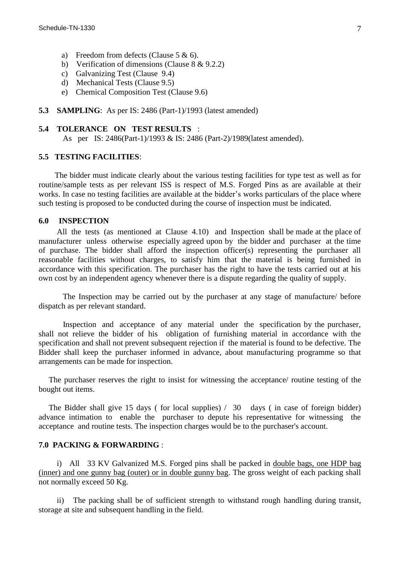- a) Freedom from defects (Clause 5 & 6).
- b) Verification of dimensions (Clause 8 & 9.2.2)
- c) Galvanizing Test (Clause 9.4)
- d) Mechanical Tests (Clause 9.5)
- e) Chemical Composition Test (Clause 9.6)
- **5.3 SAMPLING:** As per IS: 2486 (Part-1)/1993 (latest amended)

### **5.4 TOLERANCE ON TEST RESULTS** :

As per IS: 2486(Part-1)/1993 & IS: 2486 (Part-2)/1989(latest amended).

#### **5.5 TESTING FACILITIES**:

 The bidder must indicate clearly about the various testing facilities for type test as well as for routine/sample tests as per relevant ISS is respect of M.S. Forged Pins as are available at their works. In case no testing facilities are available at the bidder's works particulars of the place where such testing is proposed to be conducted during the course of inspection must be indicated.

#### **6.0 INSPECTION**

 All the tests (as mentioned at Clause 4.10) and Inspection shall be made at the place of manufacturer unless otherwise especially agreed upon by the bidder and purchaser at the time of purchase. The bidder shall afford the inspection officer(s) representing the purchaser all reasonable facilities without charges, to satisfy him that the material is being furnished in accordance with this specification. The purchaser has the right to have the tests carried out at his own cost by an independent agency whenever there is a dispute regarding the quality of supply.

 The Inspection may be carried out by the purchaser at any stage of manufacture/ before dispatch as per relevant standard.

 Inspection and acceptance of any material under the specification by the purchaser, shall not relieve the bidder of his obligation of furnishing material in accordance with the specification and shall not prevent subsequent rejection if the material is found to be defective. The Bidder shall keep the purchaser informed in advance, about manufacturing programme so that arrangements can be made for inspection.

 The purchaser reserves the right to insist for witnessing the acceptance/ routine testing of the bought out items.

 The Bidder shall give 15 days ( for local supplies) / 30 days ( in case of foreign bidder) advance intimation to enable the purchaser to depute his representative for witnessing the acceptance and routine tests. The inspection charges would be to the purchaser's account.

### **7.0 PACKING & FORWARDING** :

 i) All 33 KV Galvanized M.S. Forged pins shall be packed in double bags, one HDP bag (inner) and one gunny bag (outer) or in double gunny bag. The gross weight of each packing shall not normally exceed 50 Kg.

 ii) The packing shall be of sufficient strength to withstand rough handling during transit, storage at site and subsequent handling in the field.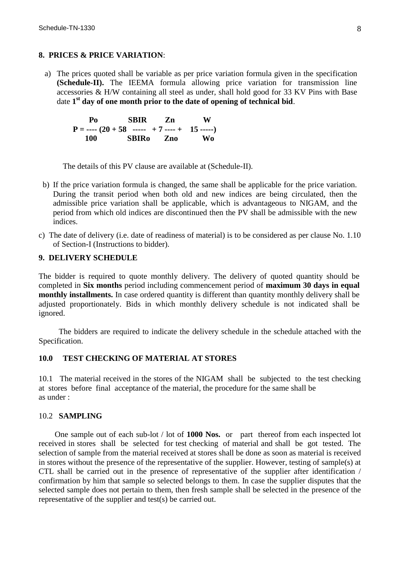# **8. PRICES & PRICE VARIATION**:

a) The prices quoted shall be variable as per price variation formula given in the specification **(Schedule-II).** The IEEMA formula allowing price variation for transmission line accessories & H/W containing all steel as under, shall hold good for 33 KV Pins with Base date **1 st day of one month prior to the date of opening of technical bid**.

 **Po SBIR Zn W**  $P =$ ---- $(20 + 58$  -----  $+ 7$ ----+ 15 ----- **100 SBIRo Zno Wo**

The details of this PV clause are available at (Schedule-II).

- b) If the price variation formula is changed, the same shall be applicable for the price variation. During the transit period when both old and new indices are being circulated, then the admissible price variation shall be applicable, which is advantageous to NIGAM, and the period from which old indices are discontinued then the PV shall be admissible with the new indices.
- c) The date of delivery (i.e. date of readiness of material) is to be considered as per clause No. 1.10 of Section-I (Instructions to bidder).

#### **9. DELIVERY SCHEDULE**

The bidder is required to quote monthly delivery. The delivery of quoted quantity should be completed in **Six months** period including commencement period of **maximum 30 days in equal monthly installments.** In case ordered quantity is different than quantity monthly delivery shall be adjusted proportionately. Bids in which monthly delivery schedule is not indicated shall be ignored.

 The bidders are required to indicate the delivery schedule in the schedule attached with the Specification.

# **10.0 TEST CHECKING OF MATERIAL AT STORES**

10.1 The material received in the stores of the NIGAM shall be subjected to the test checking at stores before final acceptance of the material, the procedure for the same shall be as under :

### 10.2 **SAMPLING**

One sample out of each sub-lot / lot of **1000 Nos.** or part thereof from each inspected lot received in stores shall be selected for test checking of material and shall be got tested. The selection of sample from the material received at stores shall be done as soon as material is received in stores without the presence of the representative of the supplier. However, testing of sample(s) at CTL shall be carried out in the presence of representative of the supplier after identification / confirmation by him that sample so selected belongs to them. In case the supplier disputes that the selected sample does not pertain to them, then fresh sample shall be selected in the presence of the representative of the supplier and test(s) be carried out.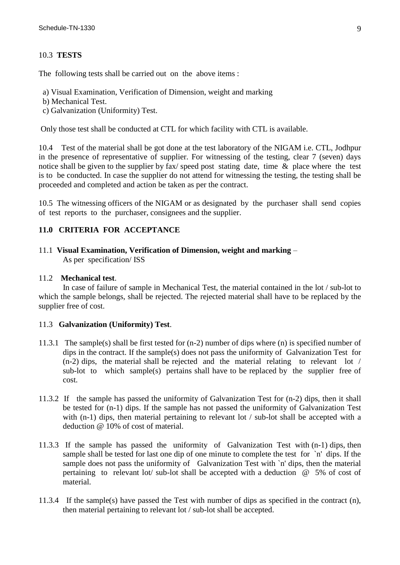# 10.3 **TESTS**

The following tests shall be carried out on the above items :

a) Visual Examination, Verification of Dimension, weight and marking

- b) Mechanical Test.
- c) Galvanization (Uniformity) Test.

Only those test shall be conducted at CTL for which facility with CTL is available.

10.4 Test of the material shall be got done at the test laboratory of the NIGAM i.e. CTL, Jodhpur in the presence of representative of supplier. For witnessing of the testing, clear 7 (seven) days notice shall be given to the supplier by fax/ speed post stating date, time  $\&$  place where the test is to be conducted. In case the supplier do not attend for witnessing the testing, the testing shall be proceeded and completed and action be taken as per the contract.

10.5 The witnessing officers of the NIGAM or as designated by the purchaser shall send copies of test reports to the purchaser, consignees and the supplier.

### **11.0 CRITERIA FOR ACCEPTANCE**

11.1 **Visual Examination, Verification of Dimension, weight and marking** – As per specification/ ISS

### 11.2 **Mechanical test**.

 In case of failure of sample in Mechanical Test, the material contained in the lot / sub-lot to which the sample belongs, shall be rejected. The rejected material shall have to be replaced by the supplier free of cost.

### 11.3 **Galvanization (Uniformity) Test**.

- 11.3.1 The sample(s) shall be first tested for (n-2) number of dips where (n) is specified number of dips in the contract. If the sample(s) does not pass the uniformity of Galvanization Test for (n-2) dips, the material shall be rejected and the material relating to relevant lot / sub-lot to which sample(s) pertains shall have to be replaced by the supplier free of cost.
- 11.3.2 If the sample has passed the uniformity of Galvanization Test for (n-2) dips, then it shall be tested for (n-1) dips. If the sample has not passed the uniformity of Galvanization Test with (n-1) dips, then material pertaining to relevant lot / sub-lot shall be accepted with a deduction @ 10% of cost of material.
- 11.3.3 If the sample has passed the uniformity of Galvanization Test with (n-1) dips, then sample shall be tested for last one dip of one minute to complete the test for `n' dips. If the sample does not pass the uniformity of Galvanization Test with `n' dips, then the material pertaining to relevant lot/ sub-lot shall be accepted with a deduction @ 5% of cost of material.
- 11.3.4 If the sample(s) have passed the Test with number of dips as specified in the contract (n), then material pertaining to relevant lot / sub-lot shall be accepted.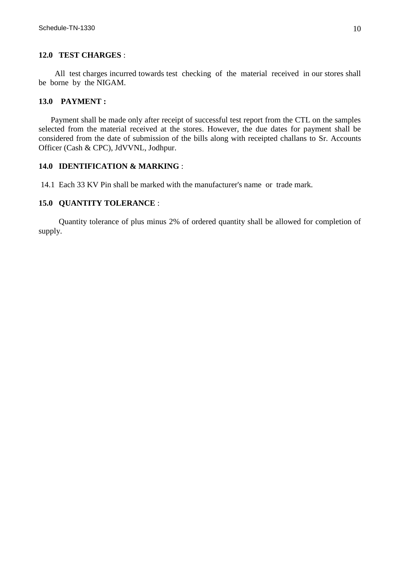### **12.0 TEST CHARGES** :

 All test charges incurred towards test checking of the material received in our stores shall be borne by the NIGAM.

# **13.0 PAYMENT :**

 Payment shall be made only after receipt of successful test report from the CTL on the samples selected from the material received at the stores. However, the due dates for payment shall be considered from the date of submission of the bills along with receipted challans to Sr. Accounts Officer (Cash & CPC), JdVVNL, Jodhpur.

# **14.0 IDENTIFICATION & MARKING** :

14.1 Each 33 KV Pin shall be marked with the manufacturer's name or trade mark.

### **15.0 QUANTITY TOLERANCE** :

 Quantity tolerance of plus minus 2% of ordered quantity shall be allowed for completion of supply.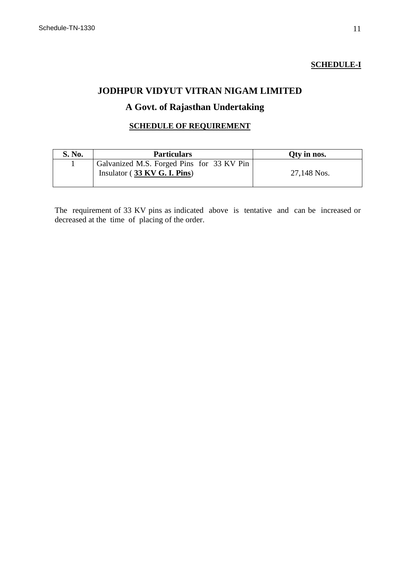# **SCHEDULE-I**

# **JODHPUR VIDYUT VITRAN NIGAM LIMITED**

# **A Govt. of Rajasthan Undertaking**

# **SCHEDULE OF REQUIREMENT**

| S. No. | <b>Particulars</b>                        | Qty in nos. |
|--------|-------------------------------------------|-------------|
|        | Galvanized M.S. Forged Pins for 33 KV Pin |             |
|        | Insulator $(33 KV G. I. Pins)$            | 27,148 Nos. |
|        |                                           |             |

The requirement of 33 KV pins as indicated above is tentative and can be increased or decreased at the time of placing of the order.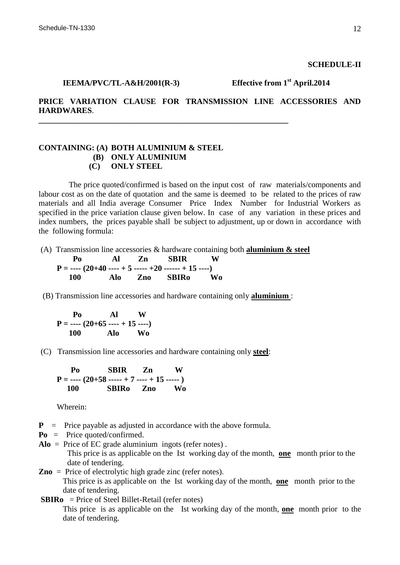### **SCHEDULE-II**

**PRICE VARIATION CLAUSE FOR TRANSMISSION LINE ACCESSORIES AND HARDWARES**.

# **CONTAINING: (A) BOTH ALUMINIUM & STEEL (B) ONLY ALUMINIUM (C) ONLY STEEL**

 The price quoted/confirmed is based on the input cost of raw materials/components and labour cost as on the date of quotation and the same is deemed to be related to the prices of raw materials and all India average Consumer Price Index Number for Industrial Workers as specified in the price variation clause given below. In case of any variation in these prices and index numbers, the prices payable shall be subject to adjustment, up or down in accordance with the following formula:

(A) Transmission line accessories & hardware containing both **aluminium & steel** 

**\_\_\_\_\_\_\_\_\_\_\_\_\_\_\_\_\_\_\_\_\_\_\_\_\_\_\_\_\_\_\_\_\_\_\_\_\_\_\_\_\_\_\_\_\_\_\_\_\_\_\_\_\_\_\_\_\_\_\_\_\_\_**

 **Po Al Zn SBIR W P = ---- (20+40 ---- + 5 ----- +20 ------ + 15 ----) 100 Alo Zno SBIRo Wo**

(B) Transmission line accessories and hardware containing only **aluminium** :

$$
P = \frac{P_0}{100} \times \frac{A1}{100} \times \frac{W}{A10} \times \frac{W}{A100}
$$

(C) Transmission line accessories and hardware containing only **steel**:

 **Po SBIR Zn W**  $P =$  ----  $(20+58$  ----- + 7 ---- + 15 -----  $)$  **100 SBIRo Zno Wo**

Wherein:

- **P** = Price payable as adjusted in accordance with the above formula.
- **Po** = Price quoted/confirmed.
- **Alo** = Price of EC grade aluminium ingots (refer notes) . This price is as applicable on the Ist working day of the month, **one** month prior to the date of tendering.
- **Zno** = Price of electrolytic high grade zinc (refer notes). This price is as applicable on the Ist working day of the month, **one** month prior to the date of tendering.
- **SBIRo** = Price of Steel Billet-Retail (refer notes)

This price is as applicable on the Ist working day of the month, **one** month prior to the date of tendering.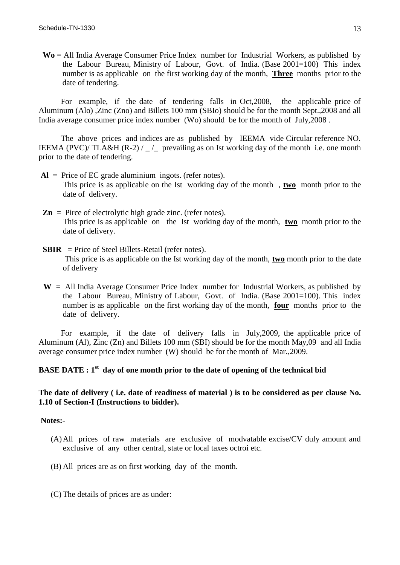**Wo** = All India Average Consumer Price Index number for Industrial Workers, as published by the Labour Bureau, Ministry of Labour, Govt. of India. (Base 2001=100) This index number is as applicable on the first working day of the month, **Three** months prior to the date of tendering.

 For example, if the date of tendering falls in Oct,2008, the applicable price of Aluminum (Alo) ,Zinc (Zno) and Billets 100 mm (SBIo) should be for the month Sept.,2008 and all India average consumer price index number (Wo) should be for the month of July,2008 .

 The above prices and indices are as published by IEEMA vide Circular reference NO. IEEMA (PVC)/ TLA&H (R-2) /  $\angle$  prevailing as on Ist working day of the month i.e. one month prior to the date of tendering.

- **Al** = Price of EC grade aluminium ingots. (refer notes). This price is as applicable on the Ist working day of the month , **two** month prior to the date of delivery.
- $\mathbf{Zn} = \text{Price of electrolytic high grade zinc. (refer notes).}$ This price is as applicable on the Ist working day of the month, **two** month prior to the date of delivery.
- **SBIR** = Price of Steel Billets-Retail (refer notes). This price is as applicable on the Ist working day of the month, **two** month prior to the date of delivery
- $W =$  All India Average Consumer Price Index number for Industrial Workers, as published by the Labour Bureau, Ministry of Labour, Govt. of India. (Base 2001=100). This index number is as applicable on the first working day of the month, **four** months prior to the date of delivery.

 For example, if the date of delivery falls in July,2009, the applicable price of Aluminum (Al), Zinc (Zn) and Billets 100 mm (SBI) should be for the month May,09 and all India average consumer price index number (W) should be for the month of Mar.,2009.

# **BASE DATE : 1 st day of one month prior to the date of opening of the technical bid**

# **The date of delivery ( i.e. date of readiness of material ) is to be considered as per clause No. 1.10 of Section-I (Instructions to bidder).**

#### **Notes:-**

- (A)All prices of raw materials are exclusive of modvatable excise/CV duly amount and exclusive of any other central, state or local taxes octroi etc.
- (B) All prices are as on first working day of the month.
- (C) The details of prices are as under: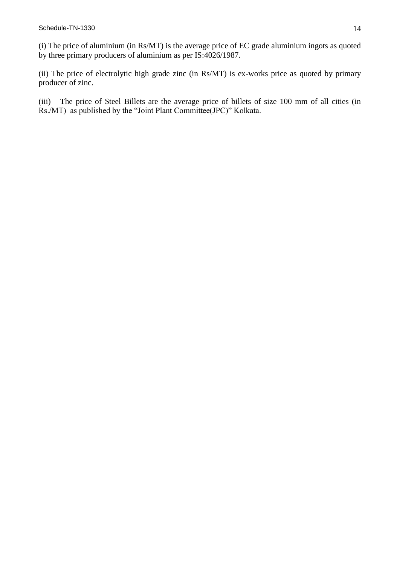(i) The price of aluminium (in Rs/MT) is the average price of EC grade aluminium ingots as quoted by three primary producers of aluminium as per IS:4026/1987.

(ii) The price of electrolytic high grade zinc (in Rs/MT) is ex-works price as quoted by primary producer of zinc.

(iii) The price of Steel Billets are the average price of billets of size 100 mm of all cities (in Rs./MT) as published by the "Joint Plant Committee(JPC)" Kolkata.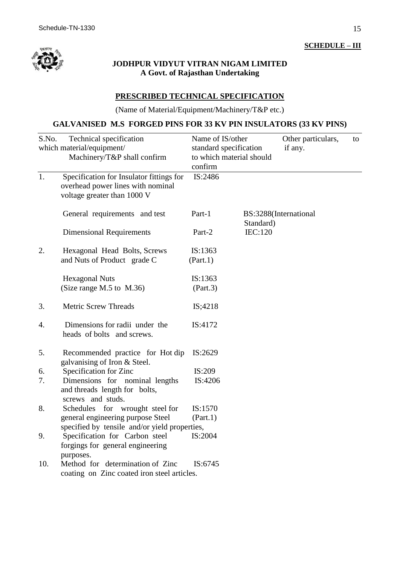

# **JODHPUR VIDYUT VITRAN NIGAM LIMITED A Govt. of Rajasthan Undertaking**

# **PRESCRIBED TECHNICAL SPECIFICATION**

(Name of Material/Equipment/Machinery/T&P etc.)

# **GALVANISED M.S FORGED PINS FOR 33 KV PIN INSULATORS (33 KV PINS)**

| S.No. | Technical specification<br>which material/equipment/<br>Machinery/T&P shall confirm                          | Name of IS/other<br>standard specification<br>to which material should<br>confirm |           | Other particulars,<br>if any. | to |
|-------|--------------------------------------------------------------------------------------------------------------|-----------------------------------------------------------------------------------|-----------|-------------------------------|----|
| 1.    | Specification for Insulator fittings for<br>overhead power lines with nominal<br>voltage greater than 1000 V | IS:2486                                                                           |           |                               |    |
|       | General requirements and test                                                                                | Part-1                                                                            | Standard) | BS:3288(International         |    |
|       | <b>Dimensional Requirements</b>                                                                              | Part-2                                                                            | IEC:120   |                               |    |
| 2.    | Hexagonal Head Bolts, Screws<br>and Nuts of Product grade C                                                  | IS:1363<br>(Part.1)                                                               |           |                               |    |
|       | <b>Hexagonal Nuts</b><br>(Size range M.5 to M.36)                                                            | IS:1363<br>(Part.3)                                                               |           |                               |    |
| 3.    | <b>Metric Screw Threads</b>                                                                                  | IS;4218                                                                           |           |                               |    |
| 4.    | Dimensions for radii under the<br>heads of bolts and screws.                                                 | IS:4172                                                                           |           |                               |    |
| 5.    | Recommended practice for Hot dip<br>galvanising of Iron & Steel.                                             | IS:2629                                                                           |           |                               |    |
| 6.    | Specification for Zinc                                                                                       | IS:209                                                                            |           |                               |    |
| 7.    | Dimensions for nominal lengths<br>and threads length for bolts,<br>screws and studs.                         | IS:4206                                                                           |           |                               |    |
| 8.    | Schedules for wrought steel for                                                                              | IS:1570                                                                           |           |                               |    |
|       | general engineering purpose Steel                                                                            | (Part.1)                                                                          |           |                               |    |
|       | specified by tensile and/or yield properties,                                                                |                                                                                   |           |                               |    |
| 9.    | Specification for Carbon steel<br>forgings for general engineering<br>purposes.                              | IS:2004                                                                           |           |                               |    |
| 10.   | Method for determination of Zinc<br>coating on Zinc coated iron steel articles.                              | IS:6745                                                                           |           |                               |    |

**SCHEDULE – III**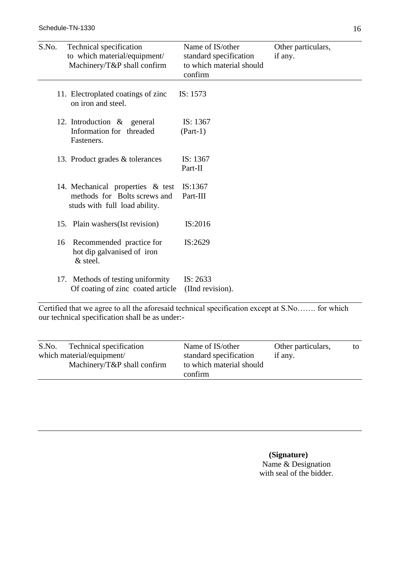| S.No. | Technical specification<br>to which material/equipment/<br>Machinery/T&P shall confirm            | Name of IS/other<br>standard specification<br>to which material should<br>confirm | Other particulars,<br>if any. |
|-------|---------------------------------------------------------------------------------------------------|-----------------------------------------------------------------------------------|-------------------------------|
|       | 11. Electroplated coatings of zinc<br>on iron and steel.                                          | IS: 1573                                                                          |                               |
|       | 12. Introduction $\&$ general<br>Information for threaded<br>Fasteners.                           | IS: 1367<br>$(Part-1)$                                                            |                               |
|       | 13. Product grades & tolerances                                                                   | IS: 1367<br>Part-II                                                               |                               |
|       | 14. Mechanical properties & test<br>methods for Bolts screws and<br>studs with full load ability. | IS:1367<br>Part-III                                                               |                               |
|       | 15. Plain washers (Ist revision)                                                                  | IS:2016                                                                           |                               |
| 16    | Recommended practice for<br>hot dip galvanised of iron<br>$&$ steel.                              | IS:2629                                                                           |                               |
|       | 17. Methods of testing uniformity<br>Of coating of zinc coated article                            | IS: 2633<br>(IInd revision).                                                      |                               |

Certified that we agree to all the aforesaid technical specification except at S.No……. for which our technical specification shall be as under:-

| Technical specification<br>which material/equipment/ | standard specification              | if any. |  |
|------------------------------------------------------|-------------------------------------|---------|--|
| Machinery/T&P shall confirm                          | to which material should<br>confirm |         |  |

 **(Signature)** Name & Designation with seal of the bidder.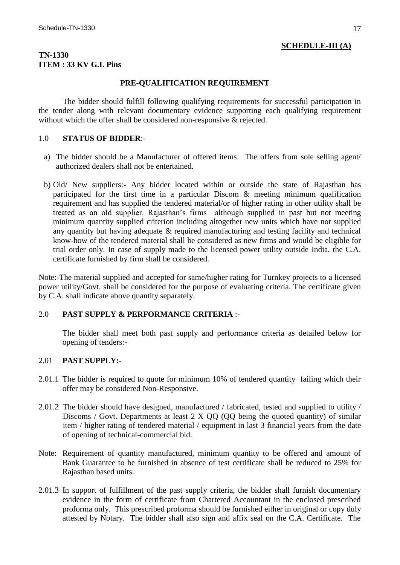# **SCHEDULE-III (A)**

### **TN-1330 ITEM : 33 KV G.I. Pins**

### **PRE-QUALIFICATION REQUIREMENT**

The bidder should fulfill following qualifying requirements for successful participation in the tender along with relevant documentary evidence supporting each qualifying requirement without which the offer shall be considered non-responsive & rejected.

# 1.0 **STATUS OF BIDDER**:-

- a) The bidder should be a Manufacturer of offered items. The offers from sole selling agent/ authorized dealers shall not be entertained.
- b) Old/ New suppliers:- Any bidder located within or outside the state of Rajasthan has participated for the first time in a particular Discom & meeting minimum qualification requirement and has supplied the tendered material/or of higher rating in other utility shall be treated as an old supplier. Rajasthan's firms although supplied in past but not meeting minimum quantity supplied criterion including altogether new units which have not supplied any quantity but having adequate & required manufacturing and testing facility and technical know-how of the tendered material shall be considered as new firms and would be eligible for trial order only. In case of supply made to the licensed power utility outside India, the C.A. certificate furnished by firm shall be considered.

Note:-The material supplied and accepted for same/higher rating for Turnkey projects to a licensed power utility/Govt. shall be considered for the purpose of evaluating criteria. The certificate given by C.A. shall indicate above quantity separately.

# 2.0 **PAST SUPPLY & PERFORMANCE CRITERIA** :-

The bidder shall meet both past supply and performance criteria as detailed below for opening of tenders:-

# 2.01 **PAST SUPPLY:-**

- 2.01.1 The bidder is required to quote for minimum 10% of tendered quantity failing which their offer may be considered Non-Responsive.
- 2.01.2 The bidder should have designed, manufactured / fabricated, tested and supplied to utility / Discoms / Govt. Departments at least 2 X QQ (QQ being the quoted quantity) of similar item / higher rating of tendered material / equipment in last 3 financial years from the date of opening of technical-commercial bid.
- Note: Requirement of quantity manufactured, minimum quantity to be offered and amount of Bank Guarantee to be furnished in absence of test certificate shall be reduced to 25% for Rajasthan based units.
- 2.01.3 In support of fulfillment of the past supply criteria, the bidder shall furnish documentary evidence in the form of certificate from Chartered Accountant in the enclosed prescribed proforma only. This prescribed proforma should be furnished either in original or copy duly attested by Notary. The bidder shall also sign and affix seal on the C.A. Certificate. The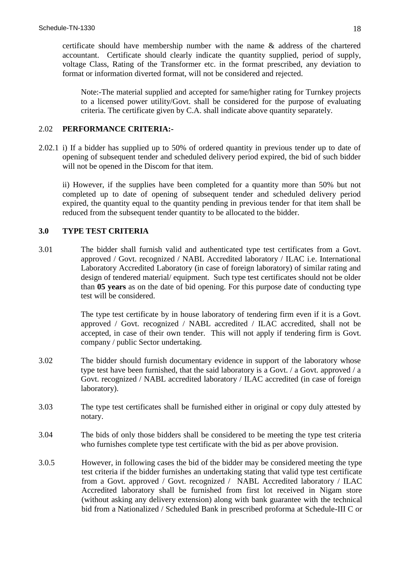certificate should have membership number with the name & address of the chartered accountant. Certificate should clearly indicate the quantity supplied, period of supply, voltage Class, Rating of the Transformer etc. in the format prescribed, any deviation to format or information diverted format, will not be considered and rejected.

Note:-The material supplied and accepted for same/higher rating for Turnkey projects to a licensed power utility/Govt. shall be considered for the purpose of evaluating criteria. The certificate given by C.A. shall indicate above quantity separately.

### 2.02 **PERFORMANCE CRITERIA:-**

2.02.1 i) If a bidder has supplied up to 50% of ordered quantity in previous tender up to date of opening of subsequent tender and scheduled delivery period expired, the bid of such bidder will not be opened in the Discom for that item.

ii) However, if the supplies have been completed for a quantity more than 50% but not completed up to date of opening of subsequent tender and scheduled delivery period expired, the quantity equal to the quantity pending in previous tender for that item shall be reduced from the subsequent tender quantity to be allocated to the bidder.

# **3.0 TYPE TEST CRITERIA**

3.01 The bidder shall furnish valid and authenticated type test certificates from a Govt. approved / Govt. recognized / NABL Accredited laboratory / ILAC i.e. International Laboratory Accredited Laboratory (in case of foreign laboratory) of similar rating and design of tendered material/ equipment. Such type test certificates should not be older than **05 years** as on the date of bid opening. For this purpose date of conducting type test will be considered.

> The type test certificate by in house laboratory of tendering firm even if it is a Govt. approved / Govt. recognized / NABL accredited / ILAC accredited, shall not be accepted, in case of their own tender. This will not apply if tendering firm is Govt. company / public Sector undertaking.

- 3.02 The bidder should furnish documentary evidence in support of the laboratory whose type test have been furnished, that the said laboratory is a Govt. / a Govt. approved / a Govt. recognized / NABL accredited laboratory / ILAC accredited (in case of foreign laboratory).
- 3.03 The type test certificates shall be furnished either in original or copy duly attested by notary.
- 3.04 The bids of only those bidders shall be considered to be meeting the type test criteria who furnishes complete type test certificate with the bid as per above provision.
- 3.0.5 However, in following cases the bid of the bidder may be considered meeting the type test criteria if the bidder furnishes an undertaking stating that valid type test certificate from a Govt. approved / Govt. recognized / NABL Accredited laboratory / ILAC Accredited laboratory shall be furnished from first lot received in Nigam store (without asking any delivery extension) along with bank guarantee with the technical bid from a Nationalized / Scheduled Bank in prescribed proforma at Schedule-III C or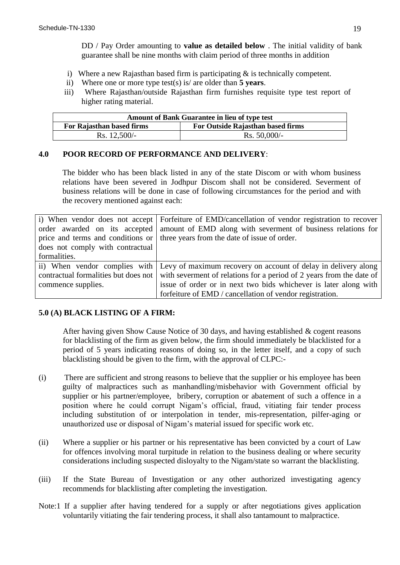DD / Pay Order amounting to **value as detailed below** . The initial validity of bank guarantee shall be nine months with claim period of three months in addition

- i) Where a new Rajasthan based firm is participating  $\&$  is technically competent.
- ii) Where one or more type test(s) is/ are older than **5 years**.
- iii) Where Rajasthan/outside Rajasthan firm furnishes requisite type test report of higher rating material.

| <b>Amount of Bank Guarantee in lieu of type test</b> |                                   |  |
|------------------------------------------------------|-----------------------------------|--|
| For Rajasthan based firms                            | For Outside Rajasthan based firms |  |
| $Rs. 12,500/-$                                       | $Rs. 50,000/-$                    |  |

### **4.0 POOR RECORD OF PERFORMANCE AND DELIVERY**:

The bidder who has been black listed in any of the state Discom or with whom business relations have been severed in Jodhpur Discom shall not be considered. Severment of business relations will be done in case of following circumstances for the period and with the recovery mentioned against each:

|                                  | i) When vendor does not accept   Forfeiture of EMD/cancellation of vendor registration to recover         |
|----------------------------------|-----------------------------------------------------------------------------------------------------------|
|                                  | order awarded on its accepted amount of EMD along with severment of business relations for                |
|                                  | price and terms and conditions or three years from the date of issue of order.                            |
| does not comply with contractual |                                                                                                           |
| formalities.                     |                                                                                                           |
|                                  | ii) When vendor complies with Levy of maximum recovery on account of delay in delivery along              |
|                                  | contractual formalities but does not with severment of relations for a period of 2 years from the date of |
| commence supplies.               | issue of order or in next two bids whichever is later along with                                          |
|                                  | forfeiture of EMD / cancellation of vendor registration.                                                  |

# **5.0 (A) BLACK LISTING OF A FIRM:**

After having given Show Cause Notice of 30 days, and having established & cogent reasons for blacklisting of the firm as given below, the firm should immediately be blacklisted for a period of 5 years indicating reasons of doing so, in the letter itself, and a copy of such blacklisting should be given to the firm, with the approval of CLPC:-

- (i) There are sufficient and strong reasons to believe that the supplier or his employee has been guilty of malpractices such as manhandling/misbehavior with Government official by supplier or his partner/employee, bribery, corruption or abatement of such a offence in a position where he could corrupt Nigam's official, fraud, vitiating fair tender process including substitution of or interpolation in tender, mis-representation, pilfer-aging or unauthorized use or disposal of Nigam's material issued for specific work etc.
- (ii) Where a supplier or his partner or his representative has been convicted by a court of Law for offences involving moral turpitude in relation to the business dealing or where security considerations including suspected disloyalty to the Nigam/state so warrant the blacklisting.
- (iii) If the State Bureau of Investigation or any other authorized investigating agency recommends for blacklisting after completing the investigation.
- Note:1 If a supplier after having tendered for a supply or after negotiations gives application voluntarily vitiating the fair tendering process, it shall also tantamount to malpractice.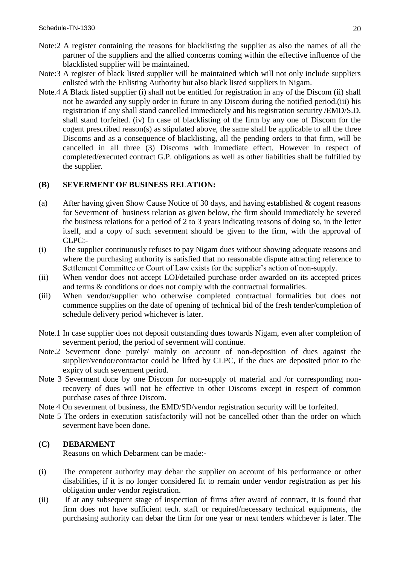- Note:2 A register containing the reasons for blacklisting the supplier as also the names of all the partner of the suppliers and the allied concerns coming within the effective influence of the blacklisted supplier will be maintained.
- Note:3 A register of black listed supplier will be maintained which will not only include suppliers enlisted with the Enlisting Authority but also black listed suppliers in Nigam.
- Note.4 A Black listed supplier (i) shall not be entitled for registration in any of the Discom (ii) shall not be awarded any supply order in future in any Discom during the notified period.(iii) his registration if any shall stand cancelled immediately and his registration security /EMD/S.D. shall stand forfeited. (iv) In case of blacklisting of the firm by any one of Discom for the cogent prescribed reason(s) as stipulated above, the same shall be applicable to all the three Discoms and as a consequence of blacklisting, all the pending orders to that firm, will be cancelled in all three (3) Discoms with immediate effect. However in respect of completed/executed contract G.P. obligations as well as other liabilities shall be fulfilled by the supplier.

# **(B) SEVERMENT OF BUSINESS RELATION:**

- (a) After having given Show Cause Notice of 30 days, and having established & cogent reasons for Severment of business relation as given below, the firm should immediately be severed the business relations for a period of 2 to 3 years indicating reasons of doing so, in the letter itself, and a copy of such severment should be given to the firm, with the approval of CLPC:-
- (i) The supplier continuously refuses to pay Nigam dues without showing adequate reasons and where the purchasing authority is satisfied that no reasonable dispute attracting reference to Settlement Committee or Court of Law exists for the supplier's action of non-supply.
- (ii) When vendor does not accept LOI/detailed purchase order awarded on its accepted prices and terms & conditions or does not comply with the contractual formalities.
- (iii) When vendor/supplier who otherwise completed contractual formalities but does not commence supplies on the date of opening of technical bid of the fresh tender/completion of schedule delivery period whichever is later.
- Note.1 In case supplier does not deposit outstanding dues towards Nigam, even after completion of severment period, the period of severment will continue.
- Note.2 Severment done purely/ mainly on account of non-deposition of dues against the supplier/vendor/contractor could be lifted by CLPC, if the dues are deposited prior to the expiry of such severment period.
- Note 3 Severment done by one Discom for non-supply of material and /or corresponding nonrecovery of dues will not be effective in other Discoms except in respect of common purchase cases of three Discom.
- Note 4 On severment of business, the EMD/SD/vendor registration security will be forfeited.
- Note 5 The orders in execution satisfactorily will not be cancelled other than the order on which severment have been done.

# **(C) DEBARMENT**

Reasons on which Debarment can be made:-

- (i) The competent authority may debar the supplier on account of his performance or other disabilities, if it is no longer considered fit to remain under vendor registration as per his obligation under vendor registration.
- (ii) If at any subsequent stage of inspection of firms after award of contract, it is found that firm does not have sufficient tech. staff or required/necessary technical equipments, the purchasing authority can debar the firm for one year or next tenders whichever is later. The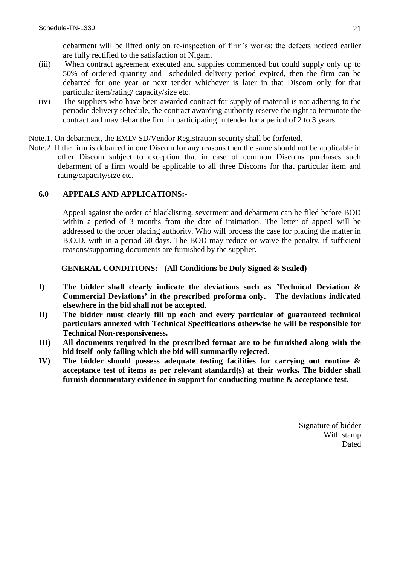debarment will be lifted only on re-inspection of firm's works; the defects noticed earlier are fully rectified to the satisfaction of Nigam.

- (iii) When contract agreement executed and supplies commenced but could supply only up to 50% of ordered quantity and scheduled delivery period expired, then the firm can be debarred for one year or next tender whichever is later in that Discom only for that particular item/rating/ capacity/size etc.
- (iv) The suppliers who have been awarded contract for supply of material is not adhering to the periodic delivery schedule, the contract awarding authority reserve the right to terminate the contract and may debar the firm in participating in tender for a period of 2 to 3 years.
- Note.1. On debarment, the EMD/ SD/Vendor Registration security shall be forfeited.
- Note.2 If the firm is debarred in one Discom for any reasons then the same should not be applicable in other Discom subject to exception that in case of common Discoms purchases such debarment of a firm would be applicable to all three Discoms for that particular item and rating/capacity/size etc.

# **6.0 APPEALS AND APPLICATIONS:-**

Appeal against the order of blacklisting, severment and debarment can be filed before BOD within a period of 3 months from the date of intimation. The letter of appeal will be addressed to the order placing authority. Who will process the case for placing the matter in B.O.D. with in a period 60 days. The BOD may reduce or waive the penalty, if sufficient reasons/supporting documents are furnished by the supplier.

**GENERAL CONDITIONS: - (All Conditions be Duly Signed & Sealed)**

- **I) The bidder shall clearly indicate the deviations such as `Technical Deviation & Commercial Deviations' in the prescribed proforma only. The deviations indicated elsewhere in the bid shall not be accepted.**
- **II) The bidder must clearly fill up each and every particular of guaranteed technical particulars annexed with Technical Specifications otherwise he will be responsible for Technical Non-responsiveness.**
- **III) All documents required in the prescribed format are to be furnished along with the bid itself only failing which the bid will summarily rejected**.
- **IV) The bidder should possess adequate testing facilities for carrying out routine & acceptance test of items as per relevant standard(s) at their works. The bidder shall furnish documentary evidence in support for conducting routine & acceptance test.**

Signature of bidder With stamp Dated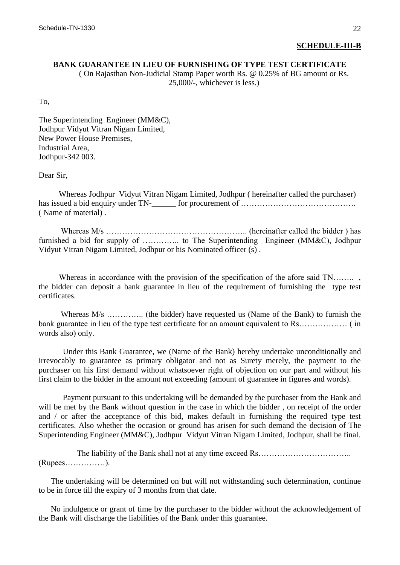### **SCHEDULE-III-B**

### **BANK GUARANTEE IN LIEU OF FURNISHING OF TYPE TEST CERTIFICATE**

( On Rajasthan Non-Judicial Stamp Paper worth Rs. @ 0.25% of BG amount or Rs. 25,000/-, whichever is less.)

To,

The Superintending Engineer (MM&C), Jodhpur Vidyut Vitran Nigam Limited, New Power House Premises, Industrial Area, Jodhpur-342 003.

Dear Sir,

 Whereas Jodhpur Vidyut Vitran Nigam Limited, Jodhpur ( hereinafter called the purchaser) has issued a bid enquiry under TN- for procurement of …………………………………………………………………… ( Name of material) .

 Whereas M/s …………………………………………….. (hereinafter called the bidder ) has furnished a bid for supply of ………….. to The Superintending Engineer (MM&C), Jodhpur Vidyut Vitran Nigam Limited, Jodhpur or his Nominated officer (s) .

Whereas in accordance with the provision of the specification of the afore said TN… the bidder can deposit a bank guarantee in lieu of the requirement of furnishing the type test certificates.

Whereas  $M/s$  …………... (the bidder) have requested us (Name of the Bank) to furnish the bank guarantee in lieu of the type test certificate for an amount equivalent to Rs……………… ( in words also) only.

 Under this Bank Guarantee, we (Name of the Bank) hereby undertake unconditionally and irrevocably to guarantee as primary obligator and not as Surety merely, the payment to the purchaser on his first demand without whatsoever right of objection on our part and without his first claim to the bidder in the amount not exceeding (amount of guarantee in figures and words).

 Payment pursuant to this undertaking will be demanded by the purchaser from the Bank and will be met by the Bank without question in the case in which the bidder , on receipt of the order and / or after the acceptance of this bid, makes default in furnishing the required type test certificates. Also whether the occasion or ground has arisen for such demand the decision of The Superintending Engineer (MM&C), Jodhpur Vidyut Vitran Nigam Limited, Jodhpur, shall be final.

The liability of the Bank shall not at any time exceed Rs……………………………………………………………… (Rupees……………).

 The undertaking will be determined on but will not withstanding such determination, continue to be in force till the expiry of 3 months from that date.

 No indulgence or grant of time by the purchaser to the bidder without the acknowledgement of the Bank will discharge the liabilities of the Bank under this guarantee.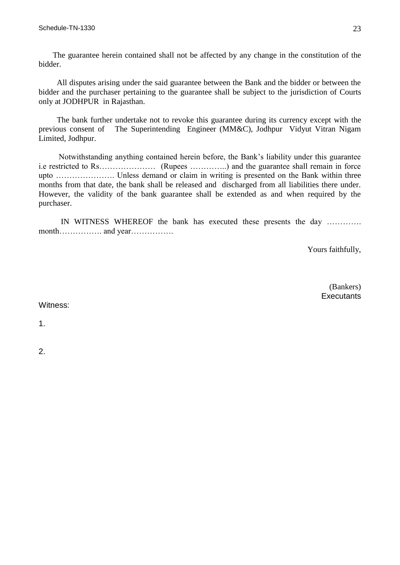The guarantee herein contained shall not be affected by any change in the constitution of the bidder.

 All disputes arising under the said guarantee between the Bank and the bidder or between the bidder and the purchaser pertaining to the guarantee shall be subject to the jurisdiction of Courts only at JODHPUR in Rajasthan.

 The bank further undertake not to revoke this guarantee during its currency except with the previous consent of The Superintending Engineer (MM&C), Jodhpur Vidyut Vitran Nigam Limited, Jodhpur.

 Notwithstanding anything contained herein before, the Bank's liability under this guarantee i.e restricted to Rs………………… (Rupees …………..) and the guarantee shall remain in force upto …………………. Unless demand or claim in writing is presented on the Bank within three months from that date, the bank shall be released and discharged from all liabilities there under. However, the validity of the bank guarantee shall be extended as and when required by the purchaser.

 IN WITNESS WHEREOF the bank has executed these presents the day …………. month……………. and year…………….

Yours faithfully,

 (Bankers) **Executants** 

Witness:

1.

2.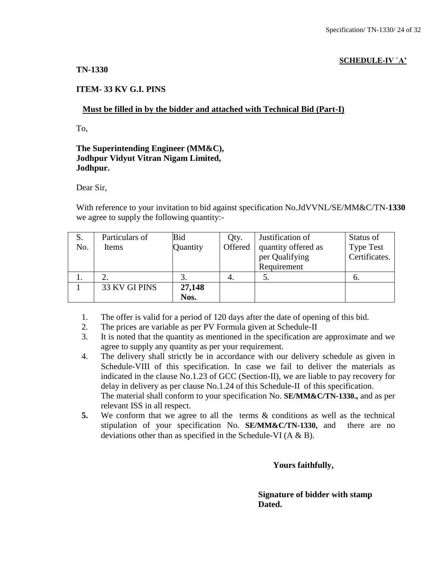# **SCHEDULE-IV `A'**

# **TN-1330**

# **ITEM- 33 KV G.I. PINS**

# **Must be filled in by the bidder and attached with Technical Bid (Part-I)**

To,

# **The Superintending Engineer (MM&C), Jodhpur Vidyut Vitran Nigam Limited, Jodhpur.**

Dear Sir,

With reference to your invitation to bid against specification No.JdVVNL/SE/MM&C/TN-**1330** we agree to supply the following quantity:-

| S.  | Particulars of | Bid      | Qty.    | Justification of    | Status of        |
|-----|----------------|----------|---------|---------------------|------------------|
| No. | Items          | Quantity | Offered | quantity offered as | <b>Type Test</b> |
|     |                |          |         | per Qualifying      | Certificates.    |
|     |                |          |         | Requirement         |                  |
| 1.  |                |          |         |                     | O.               |
|     | 33 KV GI PINS  | 27,148   |         |                     |                  |
|     |                | Nos.     |         |                     |                  |

- 1. The offer is valid for a period of 120 days after the date of opening of this bid.
- 2. The prices are variable as per PV Formula given at Schedule-II
- 3. It is noted that the quantity as mentioned in the specification are approximate and we agree to supply any quantity as per your requirement.
- 4. The delivery shall strictly be in accordance with our delivery schedule as given in Schedule-VIII of this specification. In case we fail to deliver the materials as indicated in the clause No.1.23 of GCC (Section-II), we are liable to pay recovery for delay in delivery as per clause No.1.24 of this Schedule-II of this specification. The material shall conform to your specification No. **SE/MM&C/TN-1330.,** and as per relevant ISS in all respect.
- **5.** We conform that we agree to all the terms & conditions as well as the technical stipulation of your specification No. **SE/MM&C/TN-1330,** and there are no deviations other than as specified in the Schedule-VI (A & B).

 **Yours faithfully,** 

 **Signature of bidder with stamp**  *Dated.* **Dated.**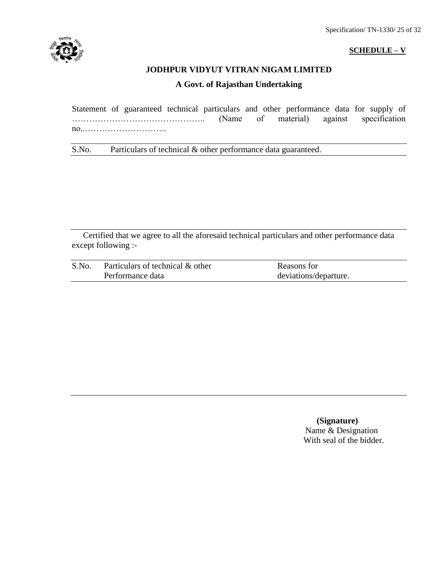

### **SCHEDULE – V**

# **JODHPUR VIDYUT VITRAN NIGAM LIMITED**

# **A Govt. of Rajasthan Undertaking**

Statement of guaranteed technical particulars and other performance data for supply of <br>
(Name of material) against specification ……………………………………….. (Name of material) against specification no..………………………..

S.No. Particulars of technical & other performance data guaranteed.

Certified that we agree to all the aforesaid technical particulars and other performance data except following :-

| S.No. | Particulars of technical & other | Reasons for           |
|-------|----------------------------------|-----------------------|
|       | Performance data                 | deviations/departure. |

 **(Signature)** Name & Designation With seal of the bidder.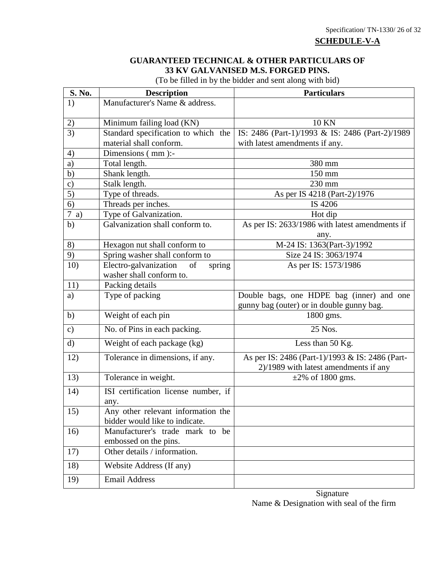**SCHEDULE-V-A**

# **GUARANTEED TECHNICAL & OTHER PARTICULARS OF 33 KV GALVANISED M.S. FORGED PINS.**

(To be filled in by the bidder and sent along with bid)

| S. No.        | <b>Description</b>                                               | <b>Particulars</b>                              |
|---------------|------------------------------------------------------------------|-------------------------------------------------|
| 1)            | Manufacturer's Name & address.                                   |                                                 |
|               |                                                                  | <b>10 KN</b>                                    |
| 2)<br>3)      | Minimum failing load (KN)<br>Standard specification to which the | IS: 2486 (Part-1)/1993 & IS: 2486 (Part-2)/1989 |
|               | material shall conform.                                          | with latest amendments if any.                  |
| 4)            | Dimensions (mm):-                                                |                                                 |
| a)            | Total length.                                                    | 380 mm                                          |
| b)            | Shank length.                                                    | 150 mm                                          |
| $\mathbf{c})$ | Stalk length.                                                    | 230 mm                                          |
| 5)            | Type of threads.                                                 | As per IS 4218 (Part-2)/1976                    |
| 6)            | Threads per inches.                                              | IS 4206                                         |
| $7$ a)        | Type of Galvanization.                                           | Hot dip                                         |
| b)            | Galvanization shall conform to.                                  | As per IS: 2633/1986 with latest amendments if  |
|               |                                                                  | any.                                            |
| 8)            | Hexagon nut shall conform to                                     | M-24 IS: 1363(Part-3)/1992                      |
| 9)            | Spring washer shall conform to                                   | Size 24 IS: 3063/1974                           |
| 10)           | Electro-galvanization<br>of<br>spring                            | As per IS: 1573/1986                            |
|               | washer shall conform to.                                         |                                                 |
| 11)           | Packing details                                                  |                                                 |
| a)            | Type of packing                                                  | Double bags, one HDPE bag (inner) and one       |
|               |                                                                  | gunny bag (outer) or in double gunny bag.       |
| b)            | Weight of each pin                                               | 1800 gms.                                       |
| $\mathbf{c})$ | No. of Pins in each packing.                                     | 25 Nos.                                         |
| $\mathbf{d}$  | Weight of each package (kg)                                      | Less than 50 Kg.                                |
| 12)           | Tolerance in dimensions, if any.                                 | As per IS: 2486 (Part-1)/1993 & IS: 2486 (Part- |
|               |                                                                  | 2)/1989 with latest amendments if any           |
| 13)           | Tolerance in weight.                                             | $\pm 2\%$ of 1800 gms.                          |
| 14)           | ISI certification license number, if                             |                                                 |
|               | any.                                                             |                                                 |
| 15)           | Any other relevant information the                               |                                                 |
|               | bidder would like to indicate.                                   |                                                 |
| 16)           | Manufacturer's trade mark to be                                  |                                                 |
|               | embossed on the pins.                                            |                                                 |
| 17)           | Other details / information.                                     |                                                 |
| 18)           | Website Address (If any)                                         |                                                 |
| 19)           | <b>Email Address</b>                                             |                                                 |

**Signature** Name & Designation with seal of the firm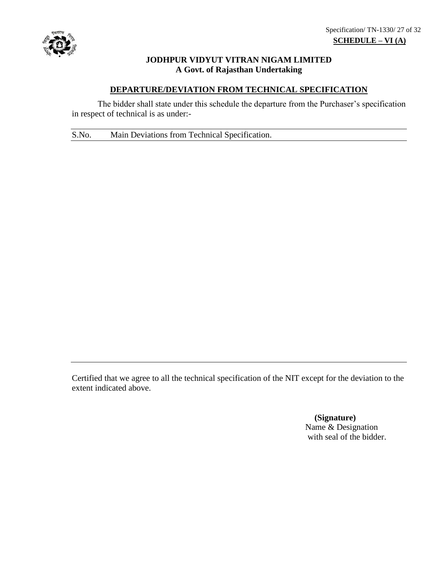

# **JODHPUR VIDYUT VITRAN NIGAM LIMITED A Govt. of Rajasthan Undertaking**

# **DEPARTURE/DEVIATION FROM TECHNICAL SPECIFICATION**

The bidder shall state under this schedule the departure from the Purchaser's specification in respect of technical is as under:-

S.No. Main Deviations from Technical Specification.

Certified that we agree to all the technical specification of the NIT except for the deviation to the extent indicated above.

> **(Signature)** Name & Designation with seal of the bidder.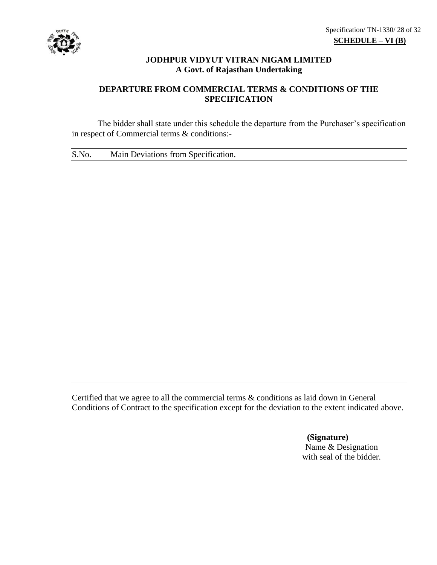

# **JODHPUR VIDYUT VITRAN NIGAM LIMITED A Govt. of Rajasthan Undertaking**

# **DEPARTURE FROM COMMERCIAL TERMS & CONDITIONS OF THE SPECIFICATION**

The bidder shall state under this schedule the departure from the Purchaser's specification in respect of Commercial terms & conditions:-

S.No. Main Deviations from Specification.

Certified that we agree to all the commercial terms & conditions as laid down in General Conditions of Contract to the specification except for the deviation to the extent indicated above.

> **(Signature)** Name & Designation with seal of the bidder.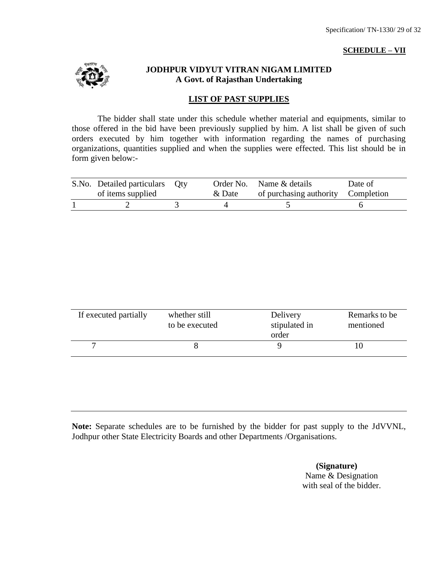### **SCHEDULE – VII**



# **JODHPUR VIDYUT VITRAN NIGAM LIMITED A Govt. of Rajasthan Undertaking**

# **LIST OF PAST SUPPLIES**

The bidder shall state under this schedule whether material and equipments, similar to those offered in the bid have been previously supplied by him. A list shall be given of such orders executed by him together with information regarding the names of purchasing organizations, quantities supplied and when the supplies were effected. This list should be in form given below:-

| S.No. Detailed particulars Qty |        | Order No. Name & details           | Date of |
|--------------------------------|--------|------------------------------------|---------|
| of items supplied              | & Date | of purchasing authority Completion |         |
|                                |        |                                    |         |

| If executed partially | whether still<br>to be executed | Delivery<br>stipulated in<br>order | Remarks to be<br>mentioned |
|-----------------------|---------------------------------|------------------------------------|----------------------------|
|                       |                                 |                                    |                            |

**Note:** Separate schedules are to be furnished by the bidder for past supply to the JdVVNL, Jodhpur other State Electricity Boards and other Departments /Organisations.

> **(Signature)** Name & Designation with seal of the bidder.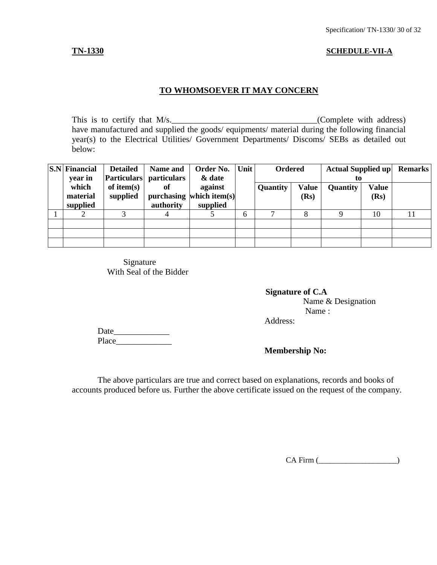### **TN-1330 SCHEDULE-VII-A**

# **TO WHOMSOEVER IT MAY CONCERN**

This is to certify that  $M/s$ .  $(Complete with address)$ have manufactured and supplied the goods/ equipments/ material during the following financial year(s) to the Electrical Utilities/ Government Departments/ Discoms/ SEBs as detailed out below:

| $\vert$ S.N $\vert$ Financial<br>year in | <b>Detailed</b>           | Name and<br>Particulars particulars | Order No.<br>& date                             | Unit<br><b>Ordered</b><br><b>Actual Supplied up</b><br>to |                 |                      |                 |                      | <b>Remarks</b> |
|------------------------------------------|---------------------------|-------------------------------------|-------------------------------------------------|-----------------------------------------------------------|-----------------|----------------------|-----------------|----------------------|----------------|
| which<br>material<br>supplied            | of item $(s)$<br>supplied | of<br>authority                     | against<br>purchasing which item(s)<br>supplied |                                                           | <b>Quantity</b> | <b>Value</b><br>(Rs) | <b>Quantity</b> | <b>Value</b><br>(Rs) |                |
|                                          |                           |                                     |                                                 | 6                                                         |                 | 8                    |                 | 10                   |                |
|                                          |                           |                                     |                                                 |                                                           |                 |                      |                 |                      |                |
|                                          |                           |                                     |                                                 |                                                           |                 |                      |                 |                      |                |
|                                          |                           |                                     |                                                 |                                                           |                 |                      |                 |                      |                |

Signature With Seal of the Bidder

 **Signature of C.A** Name & Designation Name : Address:

Date\_\_\_\_\_\_\_\_\_\_\_\_\_ Place\_\_\_\_\_\_\_\_\_\_\_\_\_

# **Membership No:**

The above particulars are true and correct based on explanations, records and books of accounts produced before us. Further the above certificate issued on the request of the company.

CA Firm (\_\_\_\_\_\_\_\_\_\_\_\_\_\_\_\_\_\_\_\_)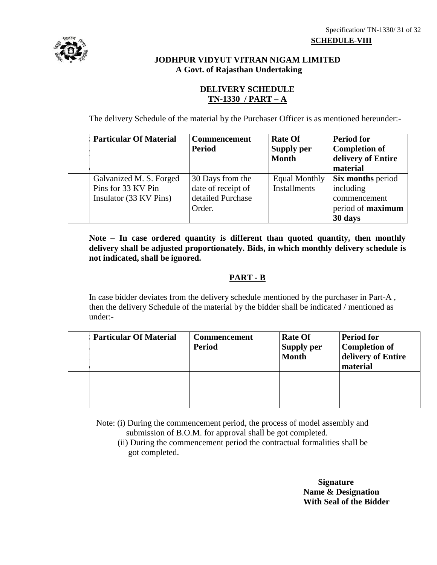# **JODHPUR VIDYUT VITRAN NIGAM LIMITED A Govt. of Rajasthan Undertaking**

# **DELIVERY SCHEDULE TN-1330 / PART – A**

The delivery Schedule of the material by the Purchaser Officer is as mentioned hereunder:-

| <b>Particular Of Material</b>                                           | <b>Commencement</b><br><b>Period</b>                                  | <b>Rate Of</b><br><b>Supply per</b><br><b>Month</b> | <b>Period for</b><br><b>Completion of</b><br>delivery of Entire<br>material           |
|-------------------------------------------------------------------------|-----------------------------------------------------------------------|-----------------------------------------------------|---------------------------------------------------------------------------------------|
| Galvanized M. S. Forged<br>Pins for 33 KV Pin<br>Insulator (33 KV Pins) | 30 Days from the<br>date of receipt of<br>detailed Purchase<br>Order. | Equal Monthly<br><b>Installments</b>                | <b>Six months period</b><br>including<br>commencement<br>period of maximum<br>30 days |

**Note – In case ordered quantity is different than quoted quantity, then monthly delivery shall be adjusted proportionately. Bids, in which monthly delivery schedule is not indicated, shall be ignored.**

# **PART - B**

In case bidder deviates from the delivery schedule mentioned by the purchaser in Part-A , then the delivery Schedule of the material by the bidder shall be indicated / mentioned as under:-

| <b>Particular Of Material</b> | <b>Commencement</b><br><b>Period</b> | <b>Rate Of</b><br><b>Supply per</b><br><b>Month</b> | <b>Period for</b><br><b>Completion of</b><br>delivery of Entire<br>material |
|-------------------------------|--------------------------------------|-----------------------------------------------------|-----------------------------------------------------------------------------|
|                               |                                      |                                                     |                                                                             |

Note: (i) During the commencement period, the process of model assembly and submission of B.O.M. for approval shall be got completed.

 (ii) During the commencement period the contractual formalities shall be got completed.

> **Signature Name & Designation With Seal of the Bidder**